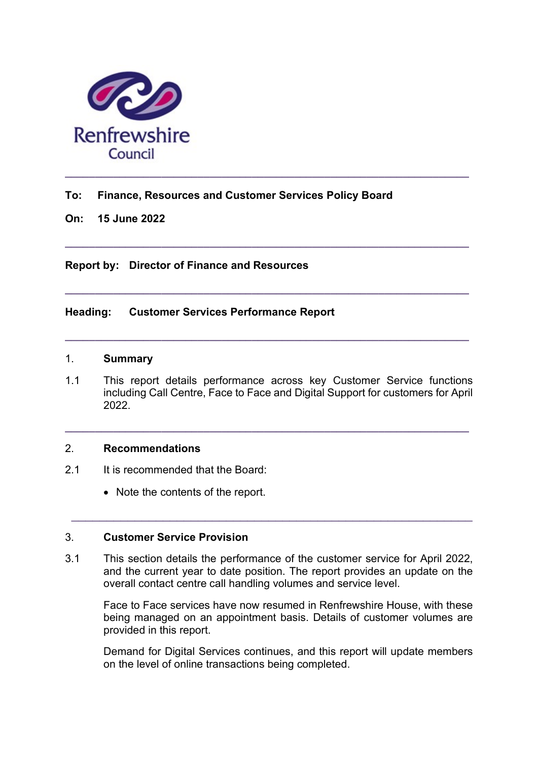

### To: Finance, Resources and Customer Services Policy Board

On: 15 June 2022

Report by: Director of Finance and Resources

## Heading: Customer Services Performance Report

#### 1. Summary

1.1 This report details performance across key Customer Service functions including Call Centre, Face to Face and Digital Support for customers for April 2022.

 $\_$  ,  $\_$  ,  $\_$  ,  $\_$  ,  $\_$  ,  $\_$  ,  $\_$  ,  $\_$  ,  $\_$  ,  $\_$  ,  $\_$  ,  $\_$  ,  $\_$  ,  $\_$  ,  $\_$  ,  $\_$  ,  $\_$  ,  $\_$  ,  $\_$ 

 $\_$  ,  $\_$  ,  $\_$  ,  $\_$  ,  $\_$  ,  $\_$  ,  $\_$  ,  $\_$  ,  $\_$  ,  $\_$  ,  $\_$  ,  $\_$  ,  $\_$  ,  $\_$  ,  $\_$  ,  $\_$  ,  $\_$  ,  $\_$  ,  $\_$ 

 $\_$  ,  $\_$  ,  $\_$  ,  $\_$  ,  $\_$  ,  $\_$  ,  $\_$  ,  $\_$  ,  $\_$  ,  $\_$  ,  $\_$  ,  $\_$  ,  $\_$  ,  $\_$  ,  $\_$  ,  $\_$  ,  $\_$  ,  $\_$  ,  $\_$ 

 $\_$  ,  $\_$  ,  $\_$  ,  $\_$  ,  $\_$  ,  $\_$  ,  $\_$  ,  $\_$  ,  $\_$  ,  $\_$  ,  $\_$  ,  $\_$  ,  $\_$  ,  $\_$  ,  $\_$  ,  $\_$  ,  $\_$  ,  $\_$  ,  $\_$ 

#### 2. Recommendations

- 2.1 It is recommended that the Board:
	- Note the contents of the report.

### 3. Customer Service Provision

3.1 This section details the performance of the customer service for April 2022, and the current year to date position. The report provides an update on the overall contact centre call handling volumes and service level.

 $\_$  , and the contribution of the contribution of  $\mathcal{L}_\mathcal{A}$  , and the contribution of  $\mathcal{L}_\mathcal{A}$ 

Face to Face services have now resumed in Renfrewshire House, with these being managed on an appointment basis. Details of customer volumes are provided in this report.

Demand for Digital Services continues, and this report will update members on the level of online transactions being completed.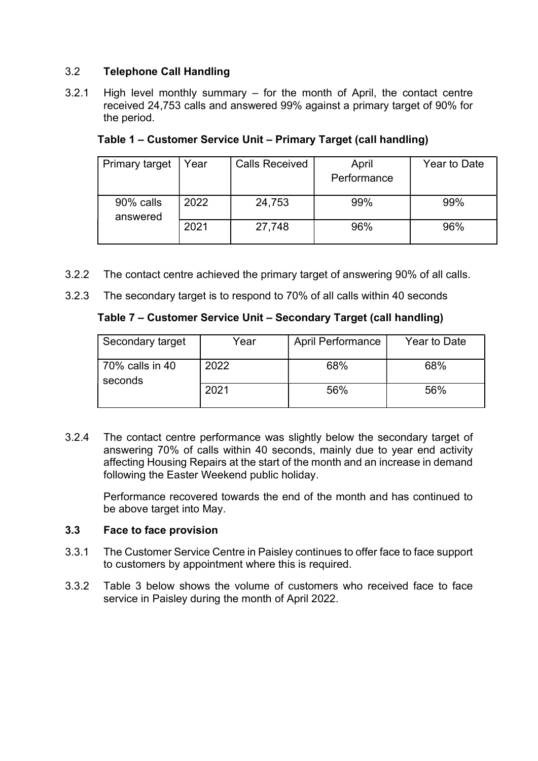# 3.2 Telephone Call Handling

3.2.1 High level monthly summary – for the month of April, the contact centre received 24,753 calls and answered 99% against a primary target of 90% for the period.

| <b>Primary target</b> | Year | <b>Calls Received</b> | April<br>Performance | Year to Date |
|-----------------------|------|-----------------------|----------------------|--------------|
| 90% calls<br>answered | 2022 | 24,753                | 99%                  | 99%          |
|                       | 2021 | 27,748                | 96%                  | 96%          |

Table 1 – Customer Service Unit – Primary Target (call handling)

- 3.2.2 The contact centre achieved the primary target of answering 90% of all calls.
- 3.2.3 The secondary target is to respond to 70% of all calls within 40 seconds

# Table 7 – Customer Service Unit – Secondary Target (call handling)

| Secondary target                     | Year | <b>April Performance</b> | Year to Date |
|--------------------------------------|------|--------------------------|--------------|
| $\,$ 70% calls in 40 $\,$<br>seconds | 2022 | 68%                      | 68%          |
|                                      | 2021 | 56%                      | 56%          |

3.2.4 The contact centre performance was slightly below the secondary target of answering 70% of calls within 40 seconds, mainly due to year end activity affecting Housing Repairs at the start of the month and an increase in demand following the Easter Weekend public holiday.

 Performance recovered towards the end of the month and has continued to be above target into May.

### 3.3 Face to face provision

- 3.3.1 The Customer Service Centre in Paisley continues to offer face to face support to customers by appointment where this is required.
- 3.3.2 Table 3 below shows the volume of customers who received face to face service in Paisley during the month of April 2022.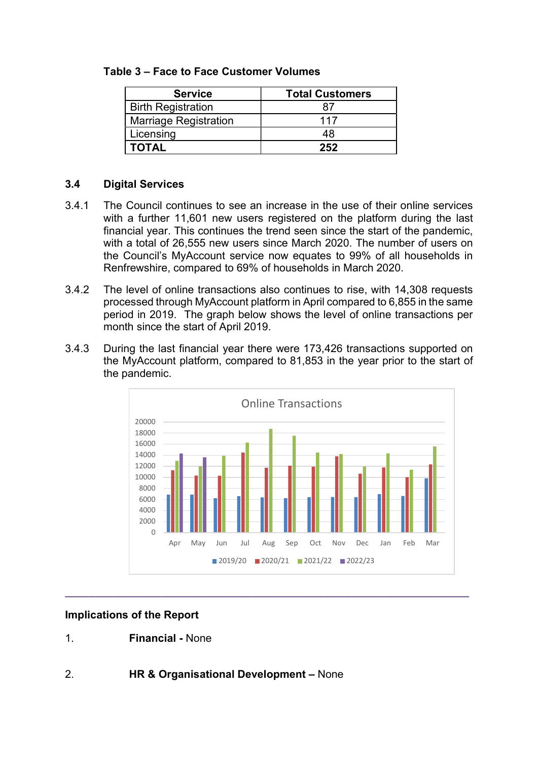### Table 3 – Face to Face Customer Volumes

| <b>Service</b>               | <b>Total Customers</b> |  |
|------------------------------|------------------------|--|
| <b>Birth Registration</b>    |                        |  |
| <b>Marriage Registration</b> | 117                    |  |
| Licensing                    | 48                     |  |
| <b>TOTAL</b>                 | 252                    |  |

## 3.4 Digital Services

- 3.4.1 The Council continues to see an increase in the use of their online services with a further 11,601 new users registered on the platform during the last financial year. This continues the trend seen since the start of the pandemic, with a total of 26,555 new users since March 2020. The number of users on the Council's MyAccount service now equates to 99% of all households in Renfrewshire, compared to 69% of households in March 2020.
- 3.4.2 The level of online transactions also continues to rise, with 14,308 requests processed through MyAccount platform in April compared to 6,855 in the same period in 2019. The graph below shows the level of online transactions per month since the start of April 2019.
- 3.4.3 During the last financial year there were 173,426 transactions supported on the MyAccount platform, compared to 81,853 in the year prior to the start of the pandemic.



# Implications of the Report

1. Financial - None

# 2. HR & Organisational Development – None